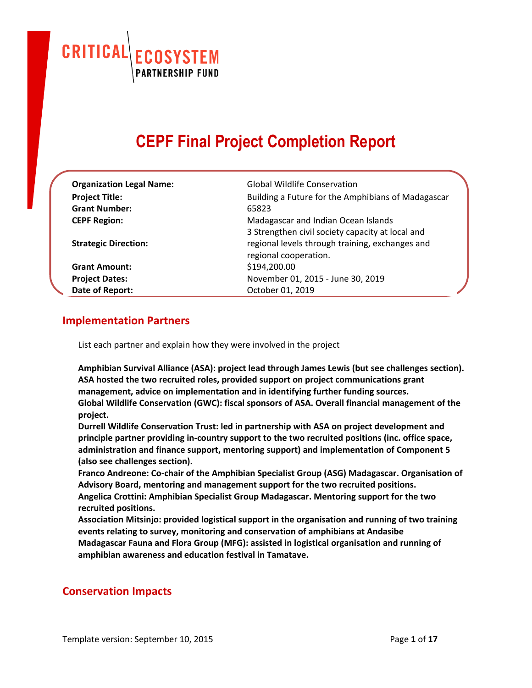CRITICAL **OSYSTEM PARTNERSHIP FUND** 

# **CEPF Final Project Completion Report**

| <b>Organization Legal Name:</b><br><b>Project Title:</b><br><b>Grant Number:</b><br><b>CEPF Region:</b><br><b>Strategic Direction:</b> | <b>Global Wildlife Conservation</b><br>Building a Future for the Amphibians of Madagascar<br>65823<br>Madagascar and Indian Ocean Islands<br>3 Strengthen civil society capacity at local and<br>regional levels through training, exchanges and<br>regional cooperation. |
|----------------------------------------------------------------------------------------------------------------------------------------|---------------------------------------------------------------------------------------------------------------------------------------------------------------------------------------------------------------------------------------------------------------------------|
| <b>Grant Amount:</b>                                                                                                                   | \$194,200.00                                                                                                                                                                                                                                                              |
| <b>Project Dates:</b>                                                                                                                  | November 01, 2015 - June 30, 2019                                                                                                                                                                                                                                         |
| Date of Report:                                                                                                                        | October 01, 2019                                                                                                                                                                                                                                                          |

# **Implementation Partners**

List each partner and explain how they were involved in the project

**Amphibian Survival Alliance (ASA): project lead through James Lewis (but see challenges section). ASA hosted the two recruited roles, provided support on project communications grant management, advice on implementation and in identifying further funding sources. Global Wildlife Conservation (GWC): fiscal sponsors of ASA. Overall financial management of the project.**

**Durrell Wildlife Conservation Trust: led in partnership with ASA on project development and principle partner providing in-country support to the two recruited positions (inc. office space, administration and finance support, mentoring support) and implementation of Component 5 (also see challenges section).**

**Franco Andreone: Co-chair of the Amphibian Specialist Group (ASG) Madagascar. Organisation of Advisory Board, mentoring and management support for the two recruited positions. Angelica Crottini: Amphibian Specialist Group Madagascar. Mentoring support for the two recruited positions.**

**Association Mitsinjo: provided logistical support in the organisation and running of two training events relating to survey, monitoring and conservation of amphibians at Andasibe Madagascar Fauna and Flora Group (MFG): assisted in logistical organisation and running of amphibian awareness and education festival in Tamatave.**

# **Conservation Impacts**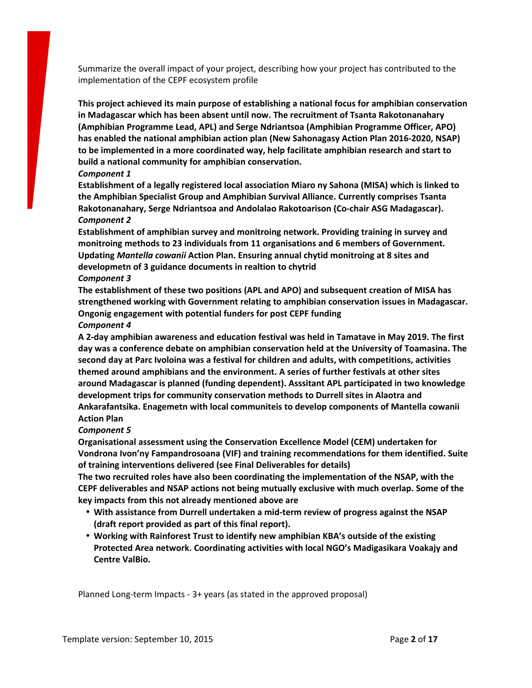Summarize the overall impact of your project, describing how your project has contributed to the implementation of the CEPF ecosystem profile

**This project achieved its main purpose of establishing a national focus for amphibian conservation in Madagascar which has been absent until now. The recruitment of Tsanta Rakotonanahary (Amphibian Programme Lead, APL) and Serge Ndriantsoa (Amphibian Programme Officer, APO) has enabled the national amphibian action plan (New Sahonagasy Action Plan 2016-2020, NSAP) to be implemented in a more coordinated way, help facilitate amphibian research and start to build a national community for amphibian conservation.**

#### *Component 1*

**Establishment of a legally registered local association Miaro ny Sahona (MISA) which is linked to the Amphibian Specialist Group and Amphibian Survival Alliance. Currently comprises Tsanta Rakotonanahary, Serge Ndriantsoa and Andolalao Rakotoarison (Co-chair ASG Madagascar).** *Component 2*

**Establishment of amphibian survey and monitroing network. Providing training in survey and monitroing methods to 23 individuals from 11 organisations and 6 members of Government. Updating** *Mantella cowanii* **Action Plan. Ensuring annual chytid monitroing at 8 sites and developmetn of 3 guidance documents in realtion to chytrid** *Component 3*

**The establishment of these two positions (APL and APO) and subsequent creation of MISA has strengthened working with Government relating to amphibian conservation issues in Madagascar. Ongonig engagement with potential funders for post CEPF funding**

#### *Component 4*

**A 2-day amphibian awareness and education festival was held in Tamatave in May 2019. The first day was a conference debate on amphibian conservation held at the University of Toamasina. The second day at Parc Ivoloina was a festival for children and adults, with competitions, activities themed around amphibians and the environment. A series of further festivals at other sites around Madagascar is planned (funding dependent). Asssitant APL participated in two knowledge development trips for community conservation methods to Durrell sites in Alaotra and Ankarafantsika. Enagemetn with local communiteis to develop components of Mantella cowanii Action Plan**

#### *Component 5*

**Organisational assessment using the Conservation Excellence Model (CEM) undertaken for Vondrona Ivon'ny Fampandrosoana (VIF) and training recommendations for them identified. Suite of training interventions delivered (see Final Deliverables for details)**

**The two recruited roles have also been coordinating the implementation of the NSAP, with the CEPF deliverables and NSAP actions not being mutually exclusive with much overlap. Some of the key impacts from this not already mentioned above are**

- **With assistance from Durrell undertaken a mid-term review of progress against the NSAP (draft report provided as part of this final report).**
- **Working with Rainforest Trust to identify new amphibian KBA's outside of the existing Protected Area network. Coordinating activities with local NGO's Madigasikara Voakajy and Centre ValBio.**

Planned Long-term Impacts - 3+ years (as stated in the approved proposal)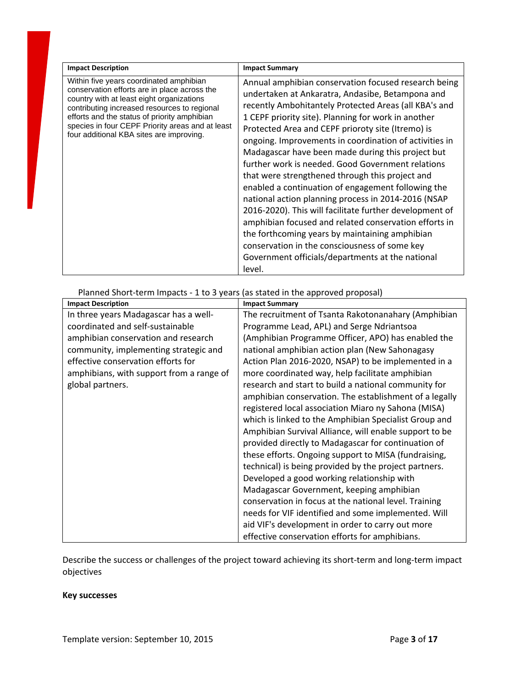| <b>Impact Description</b>                                                                                                                                                                                                                                                                                                            | <b>Impact Summary</b>                                                                                                                                                                                                                                                                                                                                                                                                                                                                                                                                                                                                                                                                                                                                                                                                                                                                                  |
|--------------------------------------------------------------------------------------------------------------------------------------------------------------------------------------------------------------------------------------------------------------------------------------------------------------------------------------|--------------------------------------------------------------------------------------------------------------------------------------------------------------------------------------------------------------------------------------------------------------------------------------------------------------------------------------------------------------------------------------------------------------------------------------------------------------------------------------------------------------------------------------------------------------------------------------------------------------------------------------------------------------------------------------------------------------------------------------------------------------------------------------------------------------------------------------------------------------------------------------------------------|
| Within five years coordinated amphibian<br>conservation efforts are in place across the<br>country with at least eight organizations<br>contributing increased resources to regional<br>efforts and the status of priority amphibian<br>species in four CEPF Priority areas and at least<br>four additional KBA sites are improving. | Annual amphibian conservation focused research being<br>undertaken at Ankaratra, Andasibe, Betampona and<br>recently Ambohitantely Protected Areas (all KBA's and<br>1 CEPF priority site). Planning for work in another<br>Protected Area and CEPF prioroty site (Itremo) is<br>ongoing. Improvements in coordination of activities in<br>Madagascar have been made during this project but<br>further work is needed. Good Government relations<br>that were strengthened through this project and<br>enabled a continuation of engagement following the<br>national action planning process in 2014-2016 (NSAP<br>2016-2020). This will facilitate further development of<br>amphibian focused and related conservation efforts in<br>the forthcoming years by maintaining amphibian<br>conservation in the consciousness of some key<br>Government officials/departments at the national<br>level. |

| Planned Short-term impacts - I to 5 years (as stated in the approved proposal) |                                                        |
|--------------------------------------------------------------------------------|--------------------------------------------------------|
| <b>Impact Description</b>                                                      | <b>Impact Summary</b>                                  |
| In three years Madagascar has a well-                                          | The recruitment of Tsanta Rakotonanahary (Amphibian    |
| coordinated and self-sustainable                                               | Programme Lead, APL) and Serge Ndriantsoa              |
| amphibian conservation and research                                            | (Amphibian Programme Officer, APO) has enabled the     |
| community, implementing strategic and                                          | national amphibian action plan (New Sahonagasy         |
| effective conservation efforts for                                             | Action Plan 2016-2020, NSAP) to be implemented in a    |
| amphibians, with support from a range of                                       | more coordinated way, help facilitate amphibian        |
| global partners.                                                               | research and start to build a national community for   |
|                                                                                | amphibian conservation. The establishment of a legally |
|                                                                                | registered local association Miaro ny Sahona (MISA)    |
|                                                                                | which is linked to the Amphibian Specialist Group and  |
|                                                                                | Amphibian Survival Alliance, will enable support to be |
|                                                                                | provided directly to Madagascar for continuation of    |
|                                                                                | these efforts. Ongoing support to MISA (fundraising,   |
|                                                                                | technical) is being provided by the project partners.  |
|                                                                                | Developed a good working relationship with             |
|                                                                                | Madagascar Government, keeping amphibian               |
|                                                                                | conservation in focus at the national level. Training  |
|                                                                                | needs for VIF identified and some implemented. Will    |
|                                                                                | aid VIF's development in order to carry out more       |
|                                                                                | effective conservation efforts for amphibians.         |

Planned Short-term Impacts - 1 to 3 years (as stated in the approved proposal)

Describe the success or challenges of the project toward achieving its short-term and long-term impact objectives

#### **Key successes**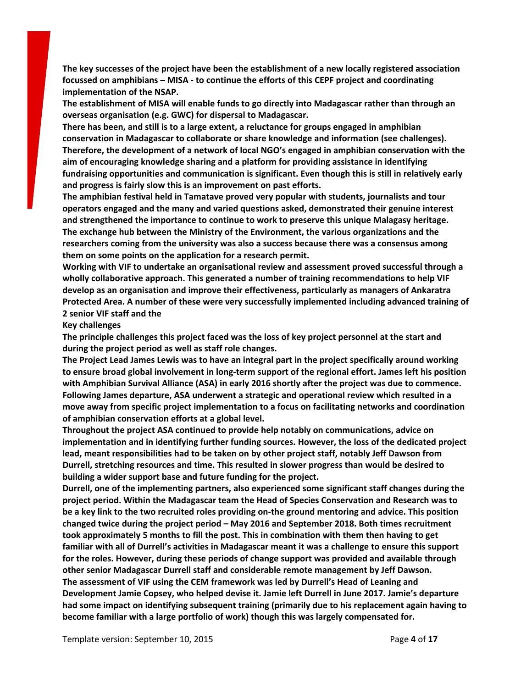**The key successes of the project have been the establishment of a new locally registered association focussed on amphibians – MISA - to continue the efforts of this CEPF project and coordinating implementation of the NSAP.**

**The establishment of MISA will enable funds to go directly into Madagascar rather than through an overseas organisation (e.g. GWC) for dispersal to Madagascar.**

**There has been, and still is to a large extent, a reluctance for groups engaged in amphibian conservation in Madagascar to collaborate or share knowledge and information (see challenges). Therefore, the development of a network of local NGO's engaged in amphibian conservation with the aim of encouraging knowledge sharing and a platform for providing assistance in identifying fundraising opportunities and communication is significant. Even though this is still in relatively early and progress is fairly slow this is an improvement on past efforts.**

**The amphibian festival held in Tamatave proved very popular with students, journalists and tour operators engaged and the many and varied questions asked, demonstrated their genuine interest and strengthened the importance to continue to work to preserve this unique Malagasy heritage. The exchange hub between the Ministry of the Environment, the various organizations and the researchers coming from the university was also a success because there was a consensus among them on some points on the application for a research permit.**

**Working with VIF to undertake an organisational review and assessment proved successful through a wholly collaborative approach. This generated a number of training recommendations to help VIF develop as an organisation and improve their effectiveness, particularly as managers of Ankaratra Protected Area. A number of these were very successfully implemented including advanced training of 2 senior VIF staff and the**

#### **Key challenges**

**The principle challenges this project faced was the loss of key project personnel at the start and during the project period as well as staff role changes.**

**The Project Lead James Lewis was to have an integral part in the project specifically around working to ensure broad global involvement in long-term support of the regional effort. James left his position with Amphibian Survival Alliance (ASA) in early 2016 shortly after the project was due to commence. Following James departure, ASA underwent a strategic and operational review which resulted in a move away from specific project implementation to a focus on facilitating networks and coordination of amphibian conservation efforts at a global level.**

**Throughout the project ASA continued to provide help notably on communications, advice on implementation and in identifying further funding sources. However, the loss of the dedicated project lead, meant responsibilities had to be taken on by other project staff, notably Jeff Dawson from Durrell, stretching resources and time. This resulted in slower progress than would be desired to building a wider support base and future funding for the project.**

**Durrell, one of the implementing partners, also experienced some significant staff changes during the project period. Within the Madagascar team the Head of Species Conservation and Research was to be a key link to the two recruited roles providing on-the ground mentoring and advice. This position changed twice during the project period – May 2016 and September 2018. Both times recruitment took approximately 5 months to fill the post. This in combination with them then having to get familiar with all of Durrell's activities in Madagascar meant it was a challenge to ensure this support for the roles. However, during these periods of change support was provided and available through other senior Madagascar Durrell staff and considerable remote management by Jeff Dawson. The assessment of VIF using the CEM framework was led by Durrell's Head of Leaning and Development Jamie Copsey, who helped devise it. Jamie left Durrell in June 2017. Jamie's departure had some impact on identifying subsequent training (primarily due to his replacement again having to become familiar with a large portfolio of work) though this was largely compensated for.**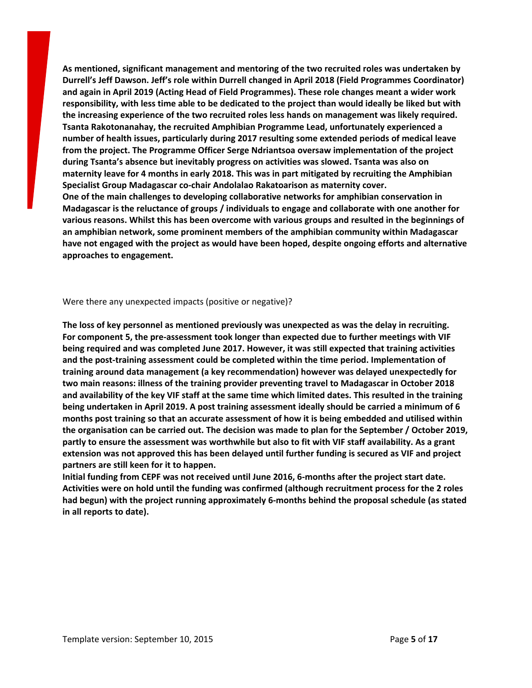**As mentioned, significant management and mentoring of the two recruited roles was undertaken by Durrell's Jeff Dawson. Jeff's role within Durrell changed in April 2018 (Field Programmes Coordinator) and again in April 2019 (Acting Head of Field Programmes). These role changes meant a wider work** responsibility, with less time able to be dedicated to the project than would ideally be liked but with **the increasing experience of the two recruited roles less hands on management was likely required. Tsanta Rakotonanahay, the recruited Amphibian Programme Lead, unfortunately experienced a number of health issues, particularly during 2017 resulting some extended periods of medical leave from the project. The Programme Officer Serge Ndriantsoa oversaw implementation of the project during Tsanta's absence but inevitably progress on activities was slowed. Tsanta was also on maternity leave for 4 months in early 2018. This was in part mitigated by recruiting the Amphibian Specialist Group Madagascar co-chair Andolalao Rakatoarison as maternity cover. One of the main challenges to developing collaborative networks for amphibian conservation in Madagascar is the reluctance of groups / individuals to engage and collaborate with one another for various reasons. Whilst this has been overcome with various groups and resulted in the beginnings of an amphibian network, some prominent members of the amphibian community within Madagascar have not engaged with the project as would have been hoped, despite ongoing efforts and alternative approaches to engagement.**

Were there any unexpected impacts (positive or negative)?

**The loss of key personnel as mentioned previously was unexpected as was the delay in recruiting. For component 5, the pre-assessment took longer than expected due to further meetings with VIF being required and was completed June 2017. However, it was still expected that training activities and the post-training assessment could be completed within the time period. Implementation of training around data management (a key recommendation) however was delayed unexpectedly for two main reasons: illness of the training provider preventing travel to Madagascar in October 2018** and availability of the key VIF staff at the same time which limited dates. This resulted in the training **being undertaken in April 2019. A post training assessment ideally should be carried a minimum of 6 months post training so that an accurate assessment of how it is being embedded and utilised within** the organisation can be carried out. The decision was made to plan for the September / October 2019, partly to ensure the assessment was worthwhile but also to fit with VIF staff availability. As a grant **extension was not approved this has been delayed until further funding is secured as VIF and project partners are still keen for it to happen.**

**Initial funding from CEPF was not received until June 2016, 6-months after the project start date. Activities were on hold until the funding was confirmed (although recruitment process for the 2 roles had begun) with the project running approximately 6-months behind the proposal schedule (as stated in all reports to date).**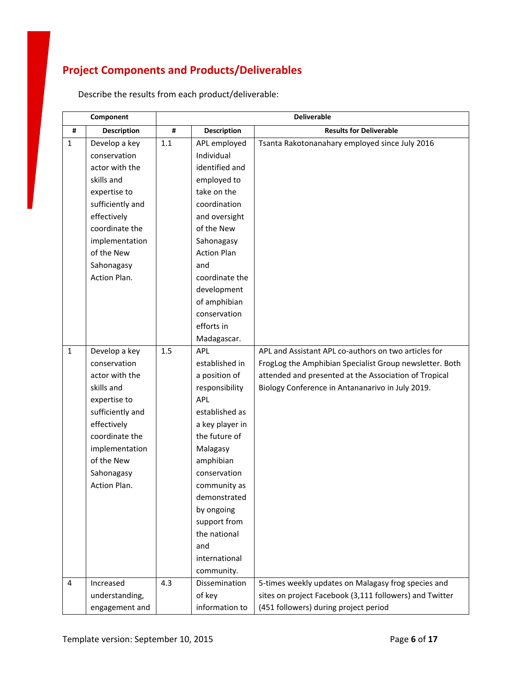# **Project Components and Products/Deliverables**

|              | Component           | <b>Deliverable</b> |                    |                                                         |
|--------------|---------------------|--------------------|--------------------|---------------------------------------------------------|
| #            | <b>Description</b>  | #                  | <b>Description</b> | <b>Results for Deliverable</b>                          |
| $\mathbf{1}$ | Develop a key       | 1.1                | APL employed       | Tsanta Rakotonanahary employed since July 2016          |
|              | conservation        |                    | Individual         |                                                         |
|              | actor with the      |                    | identified and     |                                                         |
|              | skills and          |                    | employed to        |                                                         |
|              | expertise to        |                    | take on the        |                                                         |
|              | sufficiently and    |                    | coordination       |                                                         |
|              | effectively         |                    | and oversight      |                                                         |
|              | coordinate the      |                    | of the New         |                                                         |
|              | implementation      |                    | Sahonagasy         |                                                         |
|              | of the New          |                    | <b>Action Plan</b> |                                                         |
|              | Sahonagasy          |                    | and                |                                                         |
|              | Action Plan.        |                    | coordinate the     |                                                         |
|              |                     |                    | development        |                                                         |
|              |                     |                    | of amphibian       |                                                         |
|              |                     |                    | conservation       |                                                         |
|              |                     |                    | efforts in         |                                                         |
|              |                     |                    | Madagascar.        |                                                         |
| $\mathbf{1}$ | Develop a key       | 1.5                | APL                | APL and Assistant APL co-authors on two articles for    |
|              | conservation        |                    | established in     | FrogLog the Amphibian Specialist Group newsletter. Both |
|              | actor with the      |                    | a position of      | attended and presented at the Association of Tropical   |
|              | skills and          |                    | responsibility     | Biology Conference in Antananarivo in July 2019.        |
|              | expertise to        |                    | <b>APL</b>         |                                                         |
|              | sufficiently and    |                    | established as     |                                                         |
|              | effectively         |                    | a key player in    |                                                         |
|              | coordinate the      |                    | the future of      |                                                         |
|              | implementation      |                    | Malagasy           |                                                         |
|              | of the New          |                    | amphibian          |                                                         |
|              | Sahonagasy          |                    | conservation       |                                                         |
|              | <b>Action Plan.</b> |                    | community as       |                                                         |
|              |                     |                    | demonstrated       |                                                         |
|              |                     |                    | by ongoing         |                                                         |
|              |                     |                    | support from       |                                                         |
|              |                     |                    | the national       |                                                         |
|              |                     |                    | and                |                                                         |
|              |                     |                    | international      |                                                         |
|              |                     |                    | community.         |                                                         |
| 4            | Increased           | 4.3                | Dissemination      | 5-times weekly updates on Malagasy frog species and     |
|              | understanding,      |                    | of key             | sites on project Facebook (3,111 followers) and Twitter |
|              | engagement and      |                    | information to     | (451 followers) during project period                   |

Describe the results from each product/deliverable: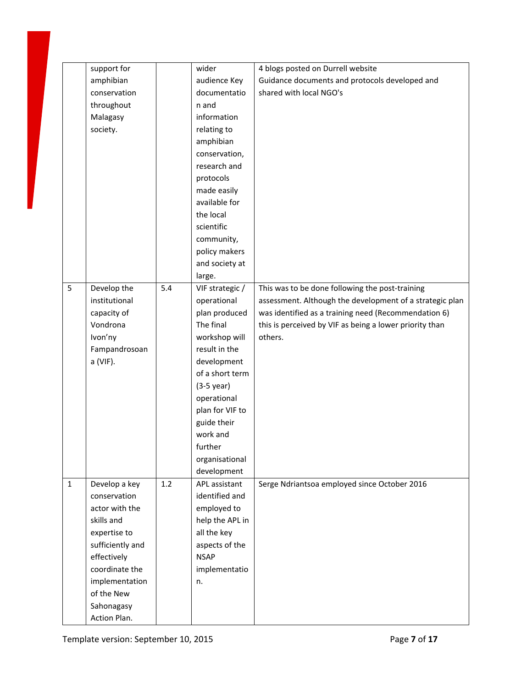|             | support for      |     | wider           | 4 blogs posted on Durrell website                        |
|-------------|------------------|-----|-----------------|----------------------------------------------------------|
|             | amphibian        |     | audience Key    | Guidance documents and protocols developed and           |
|             | conservation     |     | documentatio    | shared with local NGO's                                  |
|             | throughout       |     | n and           |                                                          |
|             | Malagasy         |     | information     |                                                          |
|             | society.         |     | relating to     |                                                          |
|             |                  |     | amphibian       |                                                          |
|             |                  |     | conservation,   |                                                          |
|             |                  |     | research and    |                                                          |
|             |                  |     | protocols       |                                                          |
|             |                  |     | made easily     |                                                          |
|             |                  |     | available for   |                                                          |
|             |                  |     | the local       |                                                          |
|             |                  |     | scientific      |                                                          |
|             |                  |     | community,      |                                                          |
|             |                  |     | policy makers   |                                                          |
|             |                  |     | and society at  |                                                          |
|             |                  |     | large.          |                                                          |
| 5           | Develop the      | 5.4 | VIF strategic / | This was to be done following the post-training          |
|             | institutional    |     | operational     | assessment. Although the development of a strategic plan |
|             | capacity of      |     | plan produced   | was identified as a training need (Recommendation 6)     |
|             | Vondrona         |     | The final       | this is perceived by VIF as being a lower priority than  |
|             | Ivon'ny          |     | workshop will   | others.                                                  |
|             | Fampandrosoan    |     | result in the   |                                                          |
|             | a (VIF).         |     | development     |                                                          |
|             |                  |     | of a short term |                                                          |
|             |                  |     | $(3-5$ year)    |                                                          |
|             |                  |     | operational     |                                                          |
|             |                  |     | plan for VIF to |                                                          |
|             |                  |     | guide their     |                                                          |
|             |                  |     | work and        |                                                          |
|             |                  |     | further         |                                                          |
|             |                  |     | organisational  |                                                          |
|             |                  |     | development     |                                                          |
| $\mathbf 1$ | Develop a key    | 1.2 | APL assistant   | Serge Ndriantsoa employed since October 2016             |
|             | conservation     |     | identified and  |                                                          |
|             | actor with the   |     | employed to     |                                                          |
|             | skills and       |     |                 |                                                          |
|             |                  |     | help the APL in |                                                          |
|             | expertise to     |     | all the key     |                                                          |
|             | sufficiently and |     | aspects of the  |                                                          |
|             | effectively      |     | <b>NSAP</b>     |                                                          |
|             | coordinate the   |     | implementatio   |                                                          |
|             | implementation   |     | n.              |                                                          |
|             | of the New       |     |                 |                                                          |
|             | Sahonagasy       |     |                 |                                                          |
|             | Action Plan.     |     |                 |                                                          |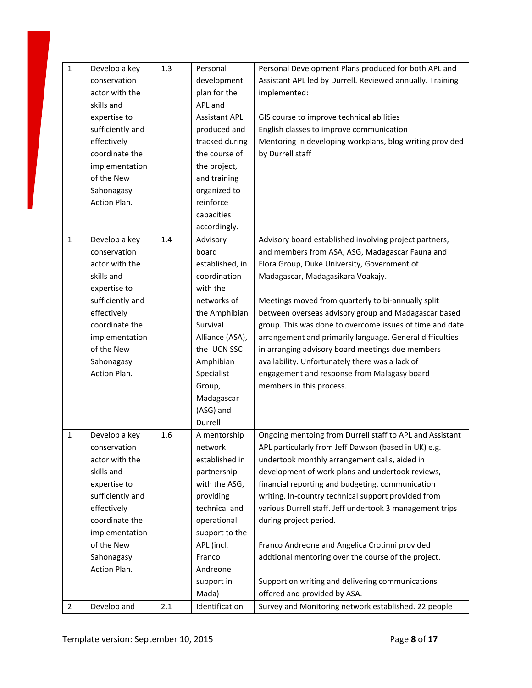| $\mathbf{1}$   | Develop a key    | 1.3 | Personal             | Personal Development Plans produced for both APL and      |
|----------------|------------------|-----|----------------------|-----------------------------------------------------------|
|                | conservation     |     | development          | Assistant APL led by Durrell. Reviewed annually. Training |
|                | actor with the   |     | plan for the         | implemented:                                              |
|                | skills and       |     | APL and              |                                                           |
|                | expertise to     |     | <b>Assistant APL</b> | GIS course to improve technical abilities                 |
|                | sufficiently and |     | produced and         | English classes to improve communication                  |
|                | effectively      |     | tracked during       | Mentoring in developing workplans, blog writing provided  |
|                | coordinate the   |     | the course of        | by Durrell staff                                          |
|                | implementation   |     | the project,         |                                                           |
|                | of the New       |     | and training         |                                                           |
|                | Sahonagasy       |     | organized to         |                                                           |
|                | Action Plan.     |     | reinforce            |                                                           |
|                |                  |     | capacities           |                                                           |
|                |                  |     | accordingly.         |                                                           |
| $\mathbf{1}$   | Develop a key    | 1.4 | Advisory             | Advisory board established involving project partners,    |
|                | conservation     |     | board                | and members from ASA, ASG, Madagascar Fauna and           |
|                | actor with the   |     | established, in      | Flora Group, Duke University, Government of               |
|                | skills and       |     | coordination         | Madagascar, Madagasikara Voakajy.                         |
|                | expertise to     |     | with the             |                                                           |
|                | sufficiently and |     | networks of          | Meetings moved from quarterly to bi-annually split        |
|                | effectively      |     | the Amphibian        | between overseas advisory group and Madagascar based      |
|                | coordinate the   |     | Survival             | group. This was done to overcome issues of time and date  |
|                | implementation   |     | Alliance (ASA),      | arrangement and primarily language. General difficulties  |
|                | of the New       |     | the IUCN SSC         | in arranging advisory board meetings due members          |
|                | Sahonagasy       |     | Amphibian            | availability. Unfortunately there was a lack of           |
|                | Action Plan.     |     | Specialist           | engagement and response from Malagasy board               |
|                |                  |     | Group,               | members in this process.                                  |
|                |                  |     | Madagascar           |                                                           |
|                |                  |     | (ASG) and            |                                                           |
|                |                  |     | Durrell              |                                                           |
| $\mathbf{1}$   | Develop a key    | 1.6 | A mentorship         | Ongoing mentoing from Durrell staff to APL and Assistant  |
|                | conservation     |     | network              | APL particularly from Jeff Dawson (based in UK) e.g.      |
|                | actor with the   |     | established in       | undertook monthly arrangement calls, aided in             |
|                | skills and       |     | partnership          | development of work plans and undertook reviews,          |
|                | expertise to     |     | with the ASG,        | financial reporting and budgeting, communication          |
|                | sufficiently and |     | providing            | writing. In-country technical support provided from       |
|                | effectively      |     | technical and        | various Durrell staff. Jeff undertook 3 management trips  |
|                | coordinate the   |     | operational          | during project period.                                    |
|                | implementation   |     | support to the       |                                                           |
|                | of the New       |     | APL (incl.           | Franco Andreone and Angelica Crotinni provided            |
|                | Sahonagasy       |     | Franco               | addtional mentoring over the course of the project.       |
|                | Action Plan.     |     | Andreone             |                                                           |
|                |                  |     | support in           | Support on writing and delivering communications          |
|                |                  |     | Mada)                | offered and provided by ASA.                              |
| $\overline{2}$ | Develop and      | 2.1 | Identification       | Survey and Monitoring network established. 22 people      |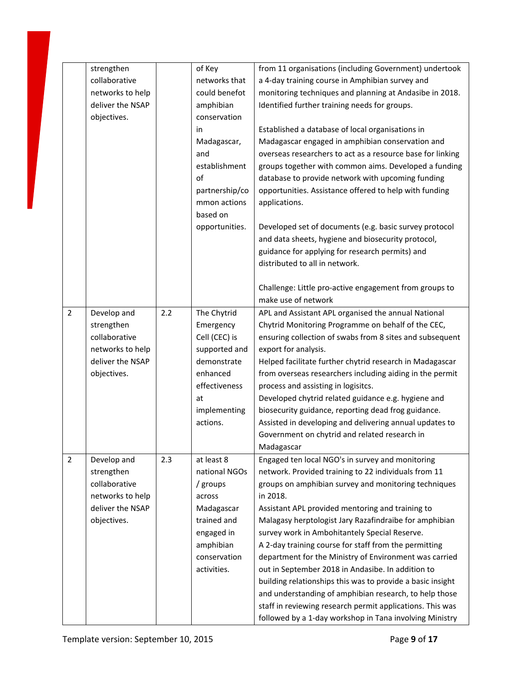|                | strengthen       |     | of Key         | from 11 organisations (including Government) undertook     |
|----------------|------------------|-----|----------------|------------------------------------------------------------|
|                | collaborative    |     | networks that  | a 4-day training course in Amphibian survey and            |
|                | networks to help |     | could benefot  | monitoring techniques and planning at Andasibe in 2018.    |
|                | deliver the NSAP |     | amphibian      | Identified further training needs for groups.              |
|                | objectives.      |     | conservation   |                                                            |
|                |                  |     | in             | Established a database of local organisations in           |
|                |                  |     | Madagascar,    | Madagascar engaged in amphibian conservation and           |
|                |                  |     | and            | overseas researchers to act as a resource base for linking |
|                |                  |     | establishment  | groups together with common aims. Developed a funding      |
|                |                  |     | of             | database to provide network with upcoming funding          |
|                |                  |     | partnership/co | opportunities. Assistance offered to help with funding     |
|                |                  |     | mmon actions   | applications.                                              |
|                |                  |     | based on       |                                                            |
|                |                  |     | opportunities. | Developed set of documents (e.g. basic survey protocol     |
|                |                  |     |                | and data sheets, hygiene and biosecurity protocol,         |
|                |                  |     |                | guidance for applying for research permits) and            |
|                |                  |     |                | distributed to all in network.                             |
|                |                  |     |                |                                                            |
|                |                  |     |                | Challenge: Little pro-active engagement from groups to     |
|                |                  |     |                | make use of network                                        |
| $\overline{2}$ | Develop and      | 2.2 | The Chytrid    | APL and Assistant APL organised the annual National        |
|                | strengthen       |     | Emergency      | Chytrid Monitoring Programme on behalf of the CEC,         |
|                | collaborative    |     | Cell (CEC) is  | ensuring collection of swabs from 8 sites and subsequent   |
|                | networks to help |     | supported and  | export for analysis.                                       |
|                | deliver the NSAP |     | demonstrate    | Helped facilitate further chytrid research in Madagascar   |
|                | objectives.      |     | enhanced       | from overseas researchers including aiding in the permit   |
|                |                  |     | effectiveness  | process and assisting in logisitcs.                        |
|                |                  |     | at             | Developed chytrid related guidance e.g. hygiene and        |
|                |                  |     | implementing   | biosecurity guidance, reporting dead frog guidance.        |
|                |                  |     | actions.       | Assisted in developing and delivering annual updates to    |
|                |                  |     |                | Government on chytrid and related research in              |
|                |                  |     |                |                                                            |
| $\overline{2}$ |                  |     |                | Madagascar                                                 |
|                | Develop and      | 2.3 | at least 8     | Engaged ten local NGO's in survey and monitoring           |
|                | strengthen       |     | national NGOs  | network. Provided training to 22 individuals from 11       |
|                | collaborative    |     | / groups       | groups on amphibian survey and monitoring techniques       |
|                | networks to help |     | across         | in 2018.                                                   |
|                | deliver the NSAP |     | Madagascar     | Assistant APL provided mentoring and training to           |
|                | objectives.      |     | trained and    | Malagasy herptologist Jary Razafindraibe for amphibian     |
|                |                  |     | engaged in     | survey work in Ambohitantely Special Reserve.              |
|                |                  |     | amphibian      | A 2-day training course for staff from the permitting      |
|                |                  |     | conservation   | department for the Ministry of Environment was carried     |
|                |                  |     | activities.    | out in September 2018 in Andasibe. In addition to          |
|                |                  |     |                | building relationships this was to provide a basic insight |
|                |                  |     |                | and understanding of amphibian research, to help those     |
|                |                  |     |                | staff in reviewing research permit applications. This was  |
|                |                  |     |                | followed by a 1-day workshop in Tana involving Ministry    |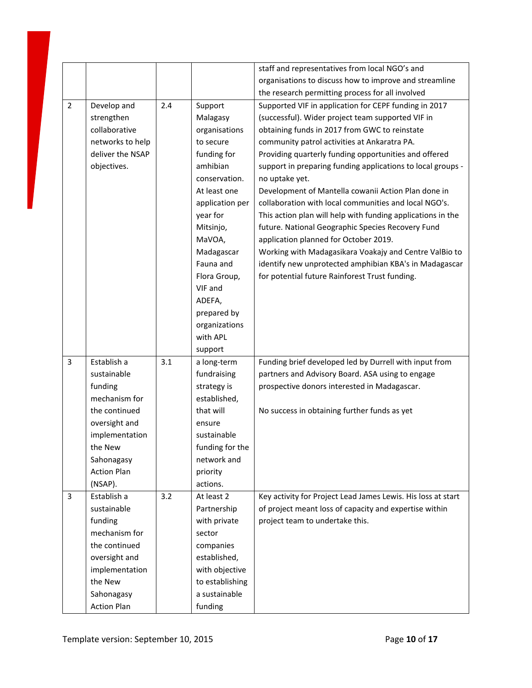|                |                    |     |                 | staff and representatives from local NGO's and               |
|----------------|--------------------|-----|-----------------|--------------------------------------------------------------|
|                |                    |     |                 | organisations to discuss how to improve and streamline       |
|                |                    |     |                 | the research permitting process for all involved             |
| $\overline{2}$ | Develop and        | 2.4 | Support         | Supported VIF in application for CEPF funding in 2017        |
|                | strengthen         |     | Malagasy        | (successful). Wider project team supported VIF in            |
|                | collaborative      |     | organisations   | obtaining funds in 2017 from GWC to reinstate                |
|                | networks to help   |     | to secure       | community patrol activities at Ankaratra PA.                 |
|                | deliver the NSAP   |     | funding for     | Providing quarterly funding opportunities and offered        |
|                | objectives.        |     | amhibian        | support in preparing funding applications to local groups -  |
|                |                    |     | conservation.   | no uptake yet.                                               |
|                |                    |     | At least one    | Development of Mantella cowanii Action Plan done in          |
|                |                    |     | application per | collaboration with local communities and local NGO's.        |
|                |                    |     | year for        | This action plan will help with funding applications in the  |
|                |                    |     | Mitsinjo,       | future. National Geographic Species Recovery Fund            |
|                |                    |     | MaVOA,          | application planned for October 2019.                        |
|                |                    |     | Madagascar      | Working with Madagasikara Voakajy and Centre ValBio to       |
|                |                    |     | Fauna and       | identify new unprotected amphibian KBA's in Madagascar       |
|                |                    |     | Flora Group,    | for potential future Rainforest Trust funding.               |
|                |                    |     | VIF and         |                                                              |
|                |                    |     | ADEFA,          |                                                              |
|                |                    |     | prepared by     |                                                              |
|                |                    |     | organizations   |                                                              |
|                |                    |     | with APL        |                                                              |
|                |                    |     | support         |                                                              |
| 3              | Establish a        | 3.1 | a long-term     | Funding brief developed led by Durrell with input from       |
|                | sustainable        |     | fundraising     | partners and Advisory Board. ASA using to engage             |
|                | funding            |     | strategy is     | prospective donors interested in Madagascar.                 |
|                | mechanism for      |     | established,    |                                                              |
|                | the continued      |     | that will       | No success in obtaining further funds as yet                 |
|                | oversight and      |     | ensure          |                                                              |
|                | implementation     |     | sustainable     |                                                              |
|                | the New            |     | funding for the |                                                              |
|                | Sahonagasy         |     | network and     |                                                              |
|                | <b>Action Plan</b> |     | priority        |                                                              |
|                | (NSAP).            |     | actions.        |                                                              |
| 3              | Establish a        | 3.2 | At least 2      | Key activity for Project Lead James Lewis. His loss at start |
|                | sustainable        |     | Partnership     | of project meant loss of capacity and expertise within       |
|                | funding            |     | with private    | project team to undertake this.                              |
|                | mechanism for      |     | sector          |                                                              |
|                | the continued      |     | companies       |                                                              |
|                | oversight and      |     | established,    |                                                              |
|                | implementation     |     | with objective  |                                                              |
|                | the New            |     | to establishing |                                                              |
|                | Sahonagasy         |     | a sustainable   |                                                              |
|                | <b>Action Plan</b> |     | funding         |                                                              |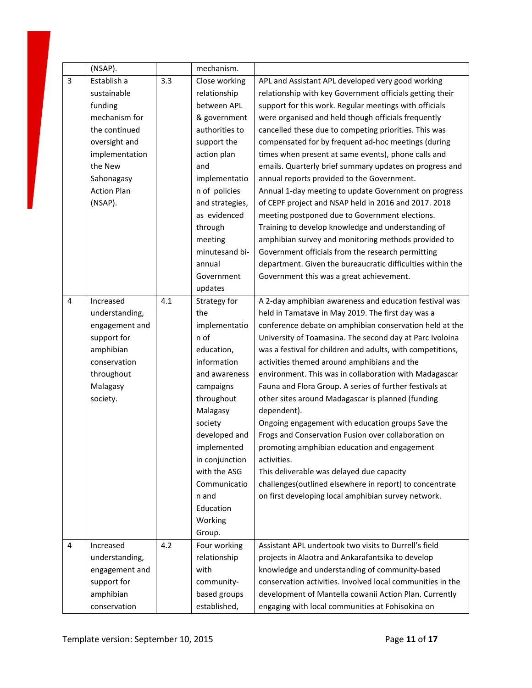|                | (NSAP).            |     | mechanism.      |                                                            |
|----------------|--------------------|-----|-----------------|------------------------------------------------------------|
| $\overline{3}$ | Establish a        | 3.3 | Close working   | APL and Assistant APL developed very good working          |
|                | sustainable        |     | relationship    | relationship with key Government officials getting their   |
|                | funding            |     | between APL     | support for this work. Regular meetings with officials     |
|                | mechanism for      |     | & government    | were organised and held though officials frequently        |
|                | the continued      |     | authorities to  | cancelled these due to competing priorities. This was      |
|                | oversight and      |     | support the     | compensated for by frequent ad-hoc meetings (during        |
|                | implementation     |     | action plan     | times when present at same events), phone calls and        |
|                | the New            |     | and             | emails. Quarterly brief summary updates on progress and    |
|                | Sahonagasy         |     | implementatio   | annual reports provided to the Government.                 |
|                | <b>Action Plan</b> |     | n of policies   | Annual 1-day meeting to update Government on progress      |
|                | (NSAP).            |     | and strategies, | of CEPF project and NSAP held in 2016 and 2017. 2018       |
|                |                    |     | as evidenced    | meeting postponed due to Government elections.             |
|                |                    |     | through         | Training to develop knowledge and understanding of         |
|                |                    |     | meeting         | amphibian survey and monitoring methods provided to        |
|                |                    |     | minutesand bi-  | Government officials from the research permitting          |
|                |                    |     | annual          | department. Given the bureaucratic difficulties within the |
|                |                    |     | Government      | Government this was a great achievement.                   |
|                |                    |     | updates         |                                                            |
| $\overline{4}$ | Increased          | 4.1 | Strategy for    | A 2-day amphibian awareness and education festival was     |
|                | understanding,     |     | the             | held in Tamatave in May 2019. The first day was a          |
|                | engagement and     |     | implementatio   | conference debate on amphibian conservation held at the    |
|                | support for        |     | n of            | University of Toamasina. The second day at Parc Ivoloina   |
|                | amphibian          |     | education,      | was a festival for children and adults, with competitions, |
|                | conservation       |     | information     | activities themed around amphibians and the                |
|                | throughout         |     | and awareness   | environment. This was in collaboration with Madagascar     |
|                | Malagasy           |     | campaigns       | Fauna and Flora Group. A series of further festivals at    |
|                | society.           |     | throughout      | other sites around Madagascar is planned (funding          |
|                |                    |     | Malagasy        | dependent).                                                |
|                |                    |     | society         | Ongoing engagement with education groups Save the          |
|                |                    |     | developed and   | Frogs and Conservation Fusion over collaboration on        |
|                |                    |     | implemented     | promoting amphibian education and engagement               |
|                |                    |     | in conjunction  | activities.                                                |
|                |                    |     | with the ASG    | This deliverable was delayed due capacity                  |
|                |                    |     | Communicatio    | challenges(outlined elsewhere in report) to concentrate    |
|                |                    |     | n and           | on first developing local amphibian survey network.        |
|                |                    |     | Education       |                                                            |
|                |                    |     | Working         |                                                            |
|                |                    |     | Group.          |                                                            |
| 4              | Increased          | 4.2 | Four working    | Assistant APL undertook two visits to Durrell's field      |
|                | understanding,     |     | relationship    | projects in Alaotra and Ankarafantsika to develop          |
|                | engagement and     |     | with            | knowledge and understanding of community-based             |
|                | support for        |     | community-      | conservation activities. Involved local communities in the |
|                | amphibian          |     | based groups    | development of Mantella cowanii Action Plan. Currently     |
|                | conservation       |     | established,    | engaging with local communities at Fohisokina on           |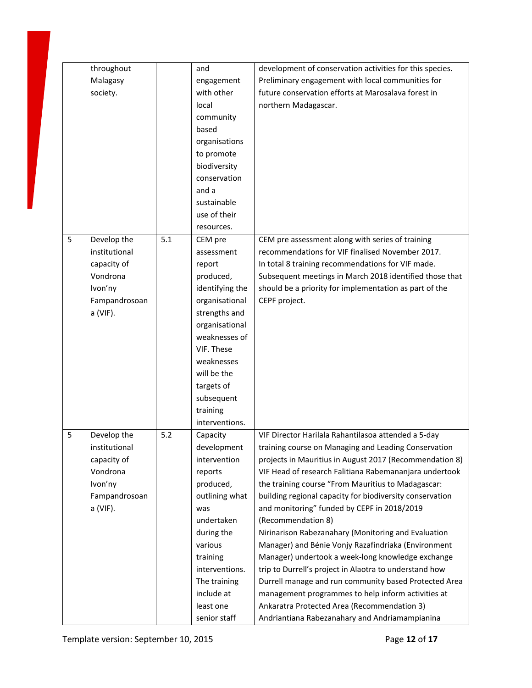|   | throughout<br>Malagasy<br>society.                                                              |     | and<br>engagement<br>with other<br>local<br>community<br>based<br>organisations<br>to promote<br>biodiversity<br>conservation<br>and a<br>sustainable<br>use of their<br>resources.                                                        | development of conservation activities for this species.<br>Preliminary engagement with local communities for<br>future conservation efforts at Marosalava forest in<br>northern Madagascar.                                                                                                                                                                                                                                                                                                                                                                                                                                                                                                                                                                                                                                                                         |
|---|-------------------------------------------------------------------------------------------------|-----|--------------------------------------------------------------------------------------------------------------------------------------------------------------------------------------------------------------------------------------------|----------------------------------------------------------------------------------------------------------------------------------------------------------------------------------------------------------------------------------------------------------------------------------------------------------------------------------------------------------------------------------------------------------------------------------------------------------------------------------------------------------------------------------------------------------------------------------------------------------------------------------------------------------------------------------------------------------------------------------------------------------------------------------------------------------------------------------------------------------------------|
| 5 | Develop the<br>institutional<br>capacity of<br>Vondrona<br>Ivon'ny<br>Fampandrosoan<br>a (VIF). | 5.1 | CEM pre<br>assessment<br>report<br>produced,<br>identifying the<br>organisational<br>strengths and<br>organisational<br>weaknesses of<br>VIF. These<br>weaknesses<br>will be the<br>targets of<br>subsequent<br>training<br>interventions. | CEM pre assessment along with series of training<br>recommendations for VIF finalised November 2017.<br>In total 8 training recommendations for VIF made.<br>Subsequent meetings in March 2018 identified those that<br>should be a priority for implementation as part of the<br>CEPF project.                                                                                                                                                                                                                                                                                                                                                                                                                                                                                                                                                                      |
| 5 | Develop the<br>institutional<br>capacity of<br>Vondrona<br>Ivon'ny<br>Fampandrosoan<br>a (VIF). | 5.2 | Capacity<br>development<br>intervention<br>reports<br>produced,<br>outlining what<br>was<br>undertaken<br>during the<br>various<br>training<br>interventions.<br>The training<br>include at<br>least one<br>senior staff                   | VIF Director Harilala Rahantilasoa attended a 5-day<br>training course on Managing and Leading Conservation<br>projects in Mauritius in August 2017 (Recommendation 8)<br>VIF Head of research Falitiana Rabemananjara undertook<br>the training course "From Mauritius to Madagascar:<br>building regional capacity for biodiversity conservation<br>and monitoring" funded by CEPF in 2018/2019<br>(Recommendation 8)<br>Nirinarison Rabezanahary (Monitoring and Evaluation<br>Manager) and Bénie Vonjy Razafindriaka (Environment<br>Manager) undertook a week-long knowledge exchange<br>trip to Durrell's project in Alaotra to understand how<br>Durrell manage and run community based Protected Area<br>management programmes to help inform activities at<br>Ankaratra Protected Area (Recommendation 3)<br>Andriantiana Rabezanahary and Andriamampianina |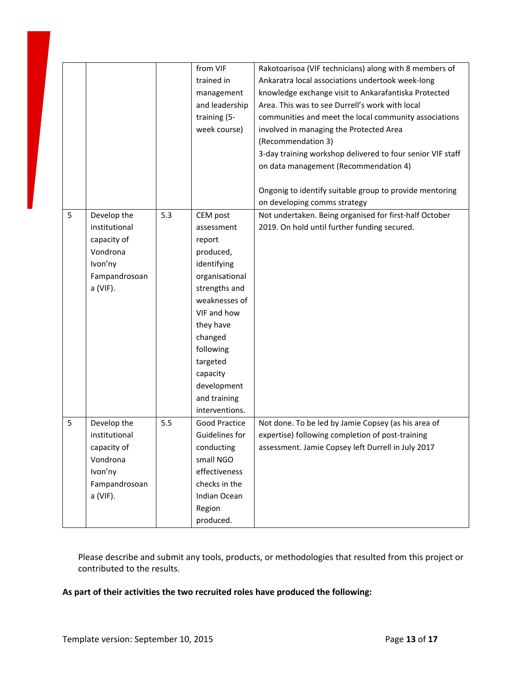|   |               |     | from VIF<br>trained in<br>management<br>and leadership<br>training (5-<br>week course) | Rakotoarisoa (VIF technicians) along with 8 members of<br>Ankaratra local associations undertook week-long<br>knowledge exchange visit to Ankarafantiska Protected<br>Area. This was to see Durrell's work with local<br>communities and meet the local community associations<br>involved in managing the Protected Area<br>(Recommendation 3)<br>3-day training workshop delivered to four senior VIF staff<br>on data management (Recommendation 4) |
|---|---------------|-----|----------------------------------------------------------------------------------------|--------------------------------------------------------------------------------------------------------------------------------------------------------------------------------------------------------------------------------------------------------------------------------------------------------------------------------------------------------------------------------------------------------------------------------------------------------|
|   |               |     |                                                                                        | Ongonig to identify suitable group to provide mentoring<br>on developing comms strategy                                                                                                                                                                                                                                                                                                                                                                |
|   |               |     |                                                                                        |                                                                                                                                                                                                                                                                                                                                                                                                                                                        |
| 5 | Develop the   | 5.3 | CEM post                                                                               | Not undertaken. Being organised for first-half October                                                                                                                                                                                                                                                                                                                                                                                                 |
|   | institutional |     | assessment                                                                             | 2019. On hold until further funding secured.                                                                                                                                                                                                                                                                                                                                                                                                           |
|   | capacity of   |     | report                                                                                 |                                                                                                                                                                                                                                                                                                                                                                                                                                                        |
|   | Vondrona      |     | produced,                                                                              |                                                                                                                                                                                                                                                                                                                                                                                                                                                        |
|   | Ivon'ny       |     | identifying                                                                            |                                                                                                                                                                                                                                                                                                                                                                                                                                                        |
|   | Fampandrosoan |     | organisational                                                                         |                                                                                                                                                                                                                                                                                                                                                                                                                                                        |
|   | a (VIF).      |     | strengths and                                                                          |                                                                                                                                                                                                                                                                                                                                                                                                                                                        |
|   |               |     | weaknesses of                                                                          |                                                                                                                                                                                                                                                                                                                                                                                                                                                        |
|   |               |     | VIF and how                                                                            |                                                                                                                                                                                                                                                                                                                                                                                                                                                        |
|   |               |     | they have                                                                              |                                                                                                                                                                                                                                                                                                                                                                                                                                                        |
|   |               |     | changed                                                                                |                                                                                                                                                                                                                                                                                                                                                                                                                                                        |
|   |               |     | following                                                                              |                                                                                                                                                                                                                                                                                                                                                                                                                                                        |
|   |               |     | targeted                                                                               |                                                                                                                                                                                                                                                                                                                                                                                                                                                        |
|   |               |     | capacity                                                                               |                                                                                                                                                                                                                                                                                                                                                                                                                                                        |
|   |               |     | development                                                                            |                                                                                                                                                                                                                                                                                                                                                                                                                                                        |
|   |               |     | and training                                                                           |                                                                                                                                                                                                                                                                                                                                                                                                                                                        |
|   |               |     | interventions.                                                                         |                                                                                                                                                                                                                                                                                                                                                                                                                                                        |
| 5 | Develop the   | 5.5 | <b>Good Practice</b>                                                                   | Not done. To be led by Jamie Copsey (as his area of                                                                                                                                                                                                                                                                                                                                                                                                    |
|   | institutional |     | Guidelines for                                                                         | expertise) following completion of post-training                                                                                                                                                                                                                                                                                                                                                                                                       |
|   | capacity of   |     | conducting                                                                             | assessment. Jamie Copsey left Durrell in July 2017                                                                                                                                                                                                                                                                                                                                                                                                     |
|   | Vondrona      |     | small NGO                                                                              |                                                                                                                                                                                                                                                                                                                                                                                                                                                        |
|   | Ivon'ny       |     | effectiveness                                                                          |                                                                                                                                                                                                                                                                                                                                                                                                                                                        |
|   | Fampandrosoan |     | checks in the                                                                          |                                                                                                                                                                                                                                                                                                                                                                                                                                                        |
|   | a (VIF).      |     | Indian Ocean                                                                           |                                                                                                                                                                                                                                                                                                                                                                                                                                                        |
|   |               |     | Region                                                                                 |                                                                                                                                                                                                                                                                                                                                                                                                                                                        |
|   |               |     | produced.                                                                              |                                                                                                                                                                                                                                                                                                                                                                                                                                                        |

Please describe and submit any tools, products, or methodologies that resulted from this project or contributed to the results.

#### **As part of their activities the two recruited roles have produced the following:**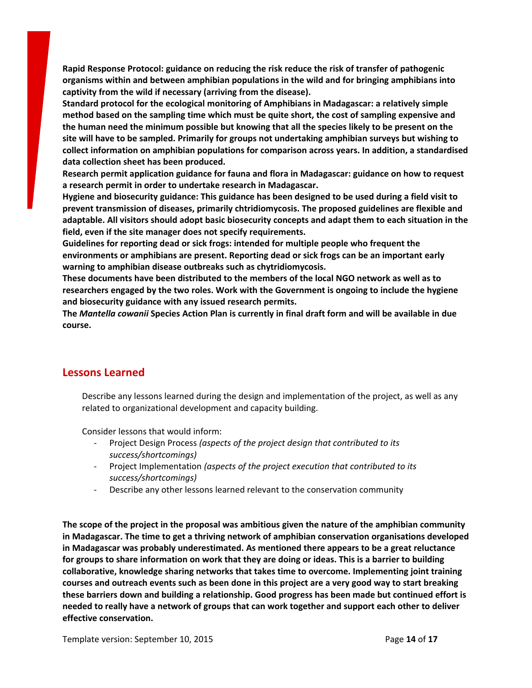**Rapid Response Protocol: guidance on reducing the risk reduce the risk of transfer of pathogenic organisms within and between amphibian populations in the wild and for bringing amphibians into captivity from the wild if necessary (arriving from the disease).**

**Standard protocol for the ecological monitoring of Amphibians in Madagascar: a relatively simple method based on the sampling time which must be quite short, the cost of sampling expensive and the human need the minimum possible but knowing that all the species likely to be present on the site will have to be sampled. Primarily for groups not undertaking amphibian surveys but wishing to collect information on amphibian populations for comparison across years. In addition, a standardised data collection sheet has been produced.**

**Research permit application guidance for fauna and flora in Madagascar: guidance on how to request a research permit in order to undertake research in Madagascar.**

**Hygiene and biosecurity guidance: This guidance has been designed to be used during a field visit to prevent transmission of diseases, primarily chtridiomycosis. The proposed guidelines are flexible and adaptable. All visitors should adopt basic biosecurity concepts and adapt them to each situation in the field, even if the site manager does not specify requirements.**

**Guidelines for reporting dead or sick frogs: intended for multiple people who frequent the environments or amphibians are present. Reporting dead or sick frogs can be an important early warning to amphibian disease outbreaks such as chytridiomycosis.**

**These documents have been distributed to the members of the local NGO network as well as to researchers engaged by the two roles. Work with the Government is ongoing to include the hygiene and biosecurity guidance with any issued research permits.**

The Mantella cowanii Species Action Plan is currently in final draft form and will be available in due **course.**

# **Lessons Learned**

Describe any lessons learned during the design and implementation of the project, as well as any related to organizational development and capacity building.

Consider lessons that would inform:

- Project Design Process *(aspects of the project design that contributed to its success/shortcomings)*
- Project Implementation *(aspects of the project execution that contributed to its success/shortcomings)*
- Describe any other lessons learned relevant to the conservation community

**The scope of the project in the proposal was ambitious given the nature of the amphibian community in Madagascar. The time to get a thriving network of amphibian conservation organisations developed in Madagascar was probably underestimated. As mentioned there appears to be a great reluctance** for groups to share information on work that they are doing or ideas. This is a barrier to building **collaborative, knowledge sharing networks that takes time to overcome. Implementing joint training** courses and outreach events such as been done in this project are a very good way to start breaking **these barriers down and building a relationship. Good progress has been made but continued effort is needed to really have a network of groups that can work together and support each other to deliver effective conservation.**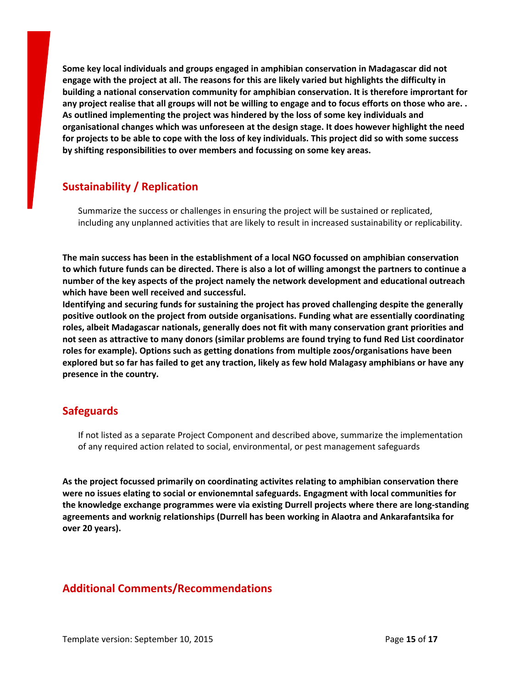**Some key local individuals and groups engaged in amphibian conservation in Madagascar did not** engage with the project at all. The reasons for this are likely varied but highlights the difficulty in **building a national conservation community for amphibian conservation. It is therefore imprortant for** any project realise that all groups will not be willing to engage and to focus efforts on those who are.. **As outlined implementing the project was hindered by the loss of some key individuals and organisational changes which was unforeseen at the design stage. It does however highlight the need** for projects to be able to cope with the loss of key individuals. This project did so with some success **by shifting responsibilities to over members and focussing on some key areas.**

# **Sustainability / Replication**

Summarize the success or challenges in ensuring the project will be sustained or replicated, including any unplanned activities that are likely to result in increased sustainability or replicability.

**The main success has been in the establishment of a local NGO focussed on amphibian conservation** to which future funds can be directed. There is also a lot of willing amongst the partners to continue a **number of the key aspects of the project namely the network development and educational outreach which have been well received and successful.**

**Identifying and securing funds for sustaining the project has proved challenging despite the generally positive outlook on the project from outside organisations. Funding what are essentially coordinating roles, albeit Madagascar nationals, generally does not fit with many conservation grant priorities and not seen as attractive to many donors (similar problems are found trying to fund Red List coordinator roles for example). Options such as getting donations from multiple zoos/organisations have been** explored but so far has failed to get any traction, likely as few hold Malagasy amphibians or have any **presence in the country.**

#### **Safeguards**

If not listed as a separate Project Component and described above, summarize the implementation of any required action related to social, environmental, or pest management safeguards

**As the project focussed primarily on coordinating activites relating to amphibian conservation there were no issues elating to social or envionemntal safeguards. Engagment with local communities for the knowledge exchange programmes were via existing Durrell projects where there are long-standing agreements and worknig relationships (Durrell has been working in Alaotra and Ankarafantsika for over 20 years).**

# **Additional Comments/Recommendations**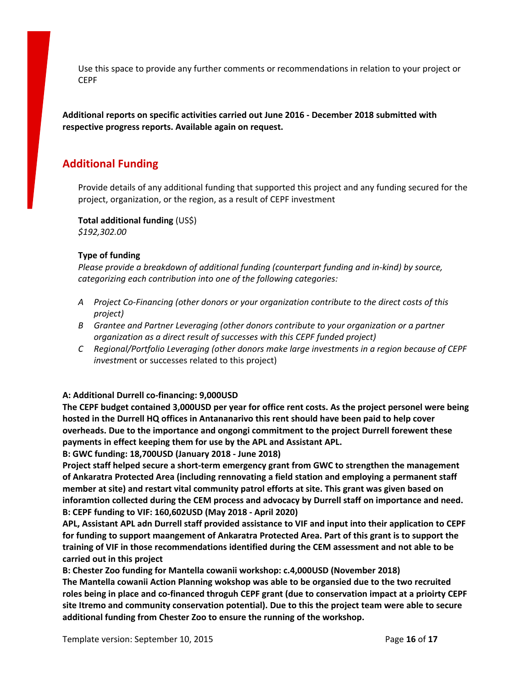Use this space to provide any further comments or recommendations in relation to your project or **CEPF** 

**Additional reports on specific activities carried out June 2016 - December 2018 submitted with respective progress reports. Available again on request.**

# **Additional Funding**

Provide details of any additional funding that supported this project and any funding secured for the project, organization, or the region, as a result of CEPF investment

**Total additional funding** (US\$) *\$192,302.00*

#### **Type of funding**

*Please provide a breakdown of additional funding (counterpart funding and in-kind) by source, categorizing each contribution into one of the following categories:*

- *A Project Co-Financing (other donors or your organization contribute to the direct costs of this project)*
- *B Grantee and Partner Leveraging (other donors contribute to your organization or a partner organization as a direct result of successes with this CEPF funded project)*
- *C Regional/Portfolio Leveraging (other donors make large investments in a region because of CEPF investm*ent or successes related to this project)

**A: Additional Durrell co-financing: 9,000USD**

**The CEPF budget contained 3,000USD per year for office rent costs. As the project personel were being hosted in the Durrell HQ offices in Antananarivo this rent should have been paid to help cover overheads. Due to the importance and ongongi commitment to the project Durrell forewent these payments in effect keeping them for use by the APL and Assistant APL.**

**B: GWC funding: 18,700USD (January 2018 - June 2018)**

**Project staff helped secure a short-term emergency grant from GWC to strengthen the management of Ankaratra Protected Area (including rennovating a field station and employing a permanent staff member at site) and restart vital community patrol efforts at site. This grant was given based on inforamtion collected during the CEM process and advocacy by Durrell staff on importance and need. B: CEPF funding to VIF: 160,602USD (May 2018 - April 2020)**

**APL, Assistant APL adn Durrell staff provided assistance to VIF and input into their application to CEPF for funding to support maangement of Ankaratra Protected Area. Part of this grant is to support the training of VIF in those recommendations identified during the CEM assessment and not able to be carried out in this project**

**B: Chester Zoo funding for Mantella cowanii workshop: c.4,000USD (November 2018) The Mantella cowanii Action Planning wokshop was able to be organsied due to the two recruited roles being in place and co-financed throguh CEPF grant (due to conservation impact at a prioirty CEPF site Itremo and community conservation potential). Due to this the project team were able to secure additional funding from Chester Zoo to ensure the running of the workshop.**